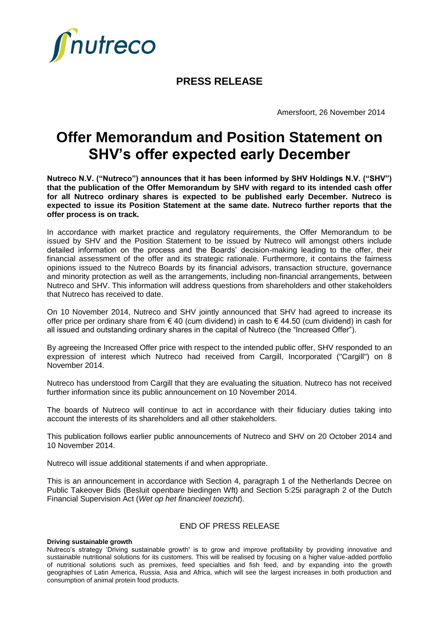

## **PRESS RELEASE**

Amersfoort, 26 November 2014

# **Offer Memorandum and Position Statement on SHV's offer expected early December**

**Nutreco N.V. ("Nutreco") announces that it has been informed by SHV Holdings N.V. ("SHV") that the publication of the Offer Memorandum by SHV with regard to its intended cash offer for all Nutreco ordinary shares is expected to be published early December. Nutreco is expected to issue its Position Statement at the same date. Nutreco further reports that the offer process is on track.** 

In accordance with market practice and regulatory requirements, the Offer Memorandum to be issued by SHV and the Position Statement to be issued by Nutreco will amongst others include detailed information on the process and the Boards' decision-making leading to the offer, their financial assessment of the offer and its strategic rationale. Furthermore, it contains the fairness opinions issued to the Nutreco Boards by its financial advisors, transaction structure, governance and minority protection as well as the arrangements, including non-financial arrangements, between Nutreco and SHV. This information will address questions from shareholders and other stakeholders that Nutreco has received to date.

On 10 November 2014, Nutreco and SHV jointly announced that SHV had agreed to increase its offer price per ordinary share from € 40 (cum dividend) in cash to € 44.50 (cum dividend) in cash for all issued and outstanding ordinary shares in the capital of Nutreco (the "Increased Offer").

By agreeing the Increased Offer price with respect to the intended public offer, SHV responded to an expression of interest which Nutreco had received from Cargill, Incorporated ("Cargill") on 8 November 2014.

Nutreco has understood from Cargill that they are evaluating the situation. Nutreco has not received further information since its public announcement on 10 November 2014.

The boards of Nutreco will continue to act in accordance with their fiduciary duties taking into account the interests of its shareholders and all other stakeholders.

This publication follows earlier public announcements of Nutreco and SHV on 20 October 2014 and 10 November 2014.

Nutreco will issue additional statements if and when appropriate.

This is an announcement in accordance with Section 4, paragraph 1 of the Netherlands Decree on Public Takeover Bids (Besluit openbare biedingen Wft) and Section 5:25i paragraph 2 of the Dutch Financial Supervision Act (*Wet op het financieel toezicht*).

### END OF PRESS RELEASE

#### **Driving sustainable growth**

Nutreco's strategy 'Driving sustainable growth' is to grow and improve profitability by providing innovative and sustainable nutritional solutions for its customers. This will be realised by focusing on a higher value-added portfolio of nutritional solutions such as premixes, feed specialties and fish feed, and by expanding into the growth geographies of Latin America, Russia, Asia and Africa, which will see the largest increases in both production and consumption of animal protein food products.